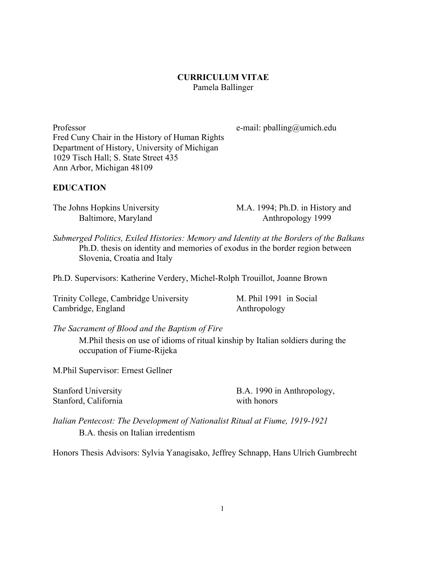### **CURRICULUM VITAE** Pamela Ballinger

Professor e-mail: pballing@umich.edu Fred Cuny Chair in the History of Human Rights Department of History, University of Michigan 1029 Tisch Hall; S. State Street 435 Ann Arbor, Michigan 48109

#### **EDUCATION**

The Johns Hopkins University M.A. 1994; Ph.D. in History and

Baltimore, Maryland Anthropology 1999

*Submerged Politics, Exiled Histories: Memory and Identity at the Borders of the Balkans* Ph.D. thesis on identity and memories of exodus in the border region between Slovenia, Croatia and Italy

Ph.D. Supervisors: Katherine Verdery, Michel-Rolph Trouillot, Joanne Brown

Trinity College, Cambridge University M. Phil 1991 in Social Cambridge, England Anthropology

*The Sacrament of Blood and the Baptism of Fire*

M.Phil thesis on use of idioms of ritual kinship by Italian soldiers during the occupation of Fiume-Rijeka

M.Phil Supervisor: Ernest Gellner

Stanford, California with honors

Stanford University B.A. 1990 in Anthropology,

*Italian Pentecost: The Development of Nationalist Ritual at Fiume, 1919-1921* B.A. thesis on Italian irredentism

Honors Thesis Advisors: Sylvia Yanagisako, Jeffrey Schnapp, Hans Ulrich Gumbrecht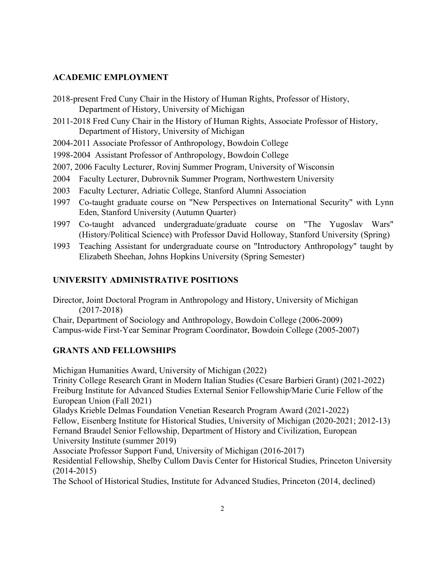## **ACADEMIC EMPLOYMENT**

- 2018-present Fred Cuny Chair in the History of Human Rights, Professor of History, Department of History, University of Michigan
- 2011-2018 Fred Cuny Chair in the History of Human Rights, Associate Professor of History, Department of History, University of Michigan
- 2004-2011 Associate Professor of Anthropology, Bowdoin College
- 1998-2004 Assistant Professor of Anthropology, Bowdoin College
- 2007, 2006 Faculty Lecturer, Rovinj Summer Program, University of Wisconsin
- 2004 Faculty Lecturer, Dubrovnik Summer Program, Northwestern University
- 2003 Faculty Lecturer, Adriatic College, Stanford Alumni Association
- 1997 Co-taught graduate course on "New Perspectives on International Security" with Lynn Eden, Stanford University (Autumn Quarter)
- 1997 Co-taught advanced undergraduate/graduate course on "The Yugoslav Wars" (History/Political Science) with Professor David Holloway, Stanford University (Spring)
- 1993 Teaching Assistant for undergraduate course on "Introductory Anthropology" taught by Elizabeth Sheehan, Johns Hopkins University (Spring Semester)

# **UNIVERSITY ADMINISTRATIVE POSITIONS**

Director, Joint Doctoral Program in Anthropology and History, University of Michigan (2017-2018)

Chair, Department of Sociology and Anthropology, Bowdoin College (2006-2009) Campus-wide First-Year Seminar Program Coordinator, Bowdoin College (2005-2007)

# **GRANTS AND FELLOWSHIPS**

Michigan Humanities Award, University of Michigan (2022)

Trinity College Research Grant in Modern Italian Studies (Cesare Barbieri Grant) (2021-2022) Freiburg Institute for Advanced Studies External Senior Fellowship/Marie Curie Fellow of the European Union (Fall 2021)

Gladys Krieble Delmas Foundation Venetian Research Program Award (2021-2022)

Fellow, Eisenberg Institute for Historical Studies, University of Michigan (2020-2021; 2012-13) Fernand Braudel Senior Fellowship, Department of History and Civilization, European University Institute (summer 2019)

Associate Professor Support Fund, University of Michigan (2016-2017)

Residential Fellowship, Shelby Cullom Davis Center for Historical Studies, Princeton University (2014-2015)

The School of Historical Studies, Institute for Advanced Studies, Princeton (2014, declined)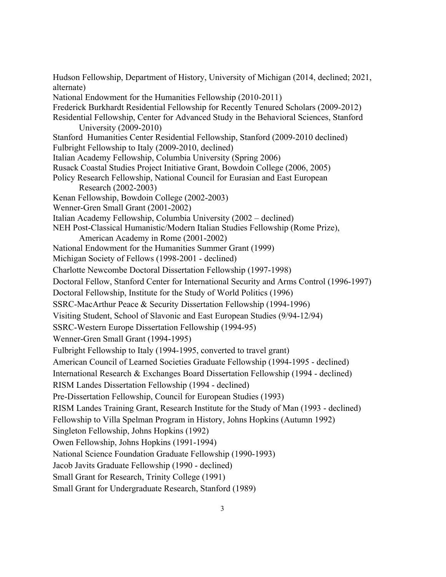Hudson Fellowship, Department of History, University of Michigan (2014, declined; 2021, alternate) National Endowment for the Humanities Fellowship (2010-2011) Frederick Burkhardt Residential Fellowship for Recently Tenured Scholars (2009-2012) Residential Fellowship, Center for Advanced Study in the Behavioral Sciences, Stanford University (2009-2010) Stanford Humanities Center Residential Fellowship, Stanford (2009-2010 declined) Fulbright Fellowship to Italy (2009-2010, declined) Italian Academy Fellowship, Columbia University (Spring 2006) Rusack Coastal Studies Project Initiative Grant, Bowdoin College (2006, 2005) Policy Research Fellowship, National Council for Eurasian and East European Research (2002-2003) Kenan Fellowship, Bowdoin College (2002-2003) Wenner-Gren Small Grant (2001-2002) Italian Academy Fellowship, Columbia University (2002 – declined) NEH Post-Classical Humanistic/Modern Italian Studies Fellowship (Rome Prize), American Academy in Rome (2001-2002) National Endowment for the Humanities Summer Grant (1999) Michigan Society of Fellows (1998-2001 - declined) Charlotte Newcombe Doctoral Dissertation Fellowship (1997-1998) Doctoral Fellow, Stanford Center for International Security and Arms Control (1996-1997) Doctoral Fellowship, Institute for the Study of World Politics (1996) SSRC-MacArthur Peace & Security Dissertation Fellowship (1994-1996) Visiting Student, School of Slavonic and East European Studies (9/94-12/94) SSRC-Western Europe Dissertation Fellowship (1994-95) Wenner-Gren Small Grant (1994-1995) Fulbright Fellowship to Italy (1994-1995, converted to travel grant) American Council of Learned Societies Graduate Fellowship (1994-1995 - declined) International Research & Exchanges Board Dissertation Fellowship (1994 - declined) RISM Landes Dissertation Fellowship (1994 - declined) Pre-Dissertation Fellowship, Council for European Studies (1993) RISM Landes Training Grant, Research Institute for the Study of Man (1993 - declined) Fellowship to Villa Spelman Program in History, Johns Hopkins (Autumn 1992) Singleton Fellowship, Johns Hopkins (1992) Owen Fellowship, Johns Hopkins (1991-1994) National Science Foundation Graduate Fellowship (1990-1993) Jacob Javits Graduate Fellowship (1990 - declined) Small Grant for Research, Trinity College (1991) Small Grant for Undergraduate Research, Stanford (1989)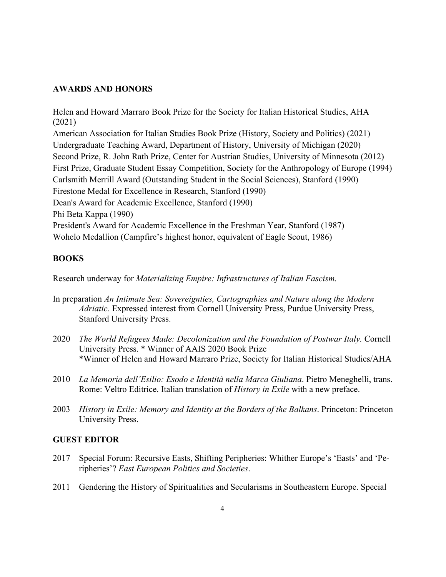#### **AWARDS AND HONORS**

Helen and Howard Marraro Book Prize for the Society for Italian Historical Studies, AHA (2021) American Association for Italian Studies Book Prize (History, Society and Politics) (2021) Undergraduate Teaching Award, Department of History, University of Michigan (2020) Second Prize, R. John Rath Prize, Center for Austrian Studies, University of Minnesota (2012) First Prize, Graduate Student Essay Competition, Society for the Anthropology of Europe (1994) Carlsmith Merrill Award (Outstanding Student in the Social Sciences), Stanford (1990) Firestone Medal for Excellence in Research, Stanford (1990) Dean's Award for Academic Excellence, Stanford (1990) Phi Beta Kappa (1990) President's Award for Academic Excellence in the Freshman Year, Stanford (1987) Wohelo Medallion (Campfire's highest honor, equivalent of Eagle Scout, 1986)

### **BOOKS**

Research underway for *Materializing Empire: Infrastructures of Italian Fascism.*

- In preparation *An Intimate Sea: Sovereignties, Cartographies and Nature along the Modern Adriatic.* Expressed interest from Cornell University Press, Purdue University Press, Stanford University Press.
- 2020 *The World Refugees Made: Decolonization and the Foundation of Postwar Italy.* Cornell University Press. \* Winner of AAIS 2020 Book Prize \*Winner of Helen and Howard Marraro Prize, Society for Italian Historical Studies/AHA
- 2010 *La Memoria dell'Esilio: Esodo e Identità nella Marca Giuliana*. Pietro Meneghelli, trans. Rome: Veltro Editrice. Italian translation of *History in Exile* with a new preface.
- 2003 *History in Exile: Memory and Identity at the Borders of the Balkans*. Princeton: Princeton University Press.

#### **GUEST EDITOR**

- 2017 Special Forum: Recursive Easts, Shifting Peripheries: Whither Europe's 'Easts' and 'Peripheries'? *East European Politics and Societies*.
- 2011 Gendering the History of Spiritualities and Secularisms in Southeastern Europe. Special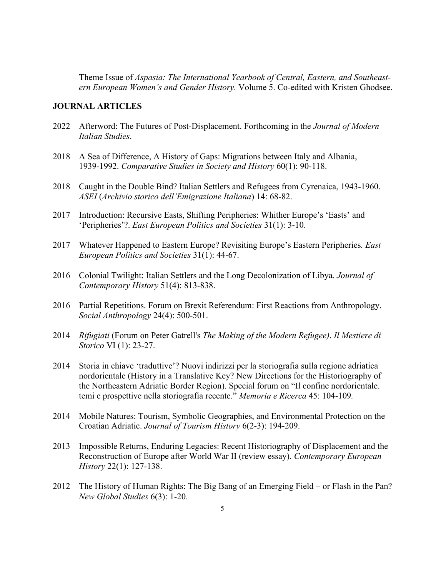Theme Issue of *Aspasia: The International Yearbook of Central, Eastern, and Southeastern European Women's and Gender History.* Volume 5. Co-edited with Kristen Ghodsee.

### **JOURNAL ARTICLES**

- 2022 Afterword: The Futures of Post-Displacement. Forthcoming in the *Journal of Modern Italian Studies*.
- 2018 A Sea of Difference, A History of Gaps: Migrations between Italy and Albania, 1939-1992. *Comparative Studies in Society and History* 60(1): 90-118.
- 2018 Caught in the Double Bind? Italian Settlers and Refugees from Cyrenaica, 1943-1960. *ASEI* (*Archivio storico dell'Emigrazione Italiana*) 14: 68-82.
- 2017 Introduction: Recursive Easts, Shifting Peripheries: Whither Europe's 'Easts' and 'Peripheries'?. *East European Politics and Societies* 31(1): 3-10.
- 2017 Whatever Happened to Eastern Europe? Revisiting Europe's Eastern Peripheries*. East European Politics and Societies* 31(1): 44-67.
- 2016 Colonial Twilight: Italian Settlers and the Long Decolonization of Libya. *Journal of Contemporary History* 51(4): 813-838.
- 2016 Partial Repetitions. Forum on Brexit Referendum: First Reactions from Anthropology. *Social Anthropology* 24(4): 500-501.
- 2014 *Rifugiati* (Forum on Peter Gatrell's *The Making of the Modern Refugee)*. *Il Mestiere di Storico* VI (1): 23-27.
- 2014 Storia in chiave 'traduttive'? Nuovi indirizzi per la storiografia sulla regione adriatica nordorientale (History in a Translative Key? New Directions for the Historiography of the Northeastern Adriatic Border Region). Special forum on "Il confine nordorientale. temi e prospettive nella storiografia recente." *Memoria e Ricerca* 45: 104-109*.*
- 2014 Mobile Natures: Tourism, Symbolic Geographies, and Environmental Protection on the Croatian Adriatic. *Journal of Tourism History* 6(2-3): 194-209.
- 2013 Impossible Returns, Enduring Legacies: Recent Historiography of Displacement and the Reconstruction of Europe after World War II (review essay). *Contemporary European History* 22(1): 127-138.
- 2012 The History of Human Rights: The Big Bang of an Emerging Field or Flash in the Pan? *New Global Studies* 6(3): 1-20.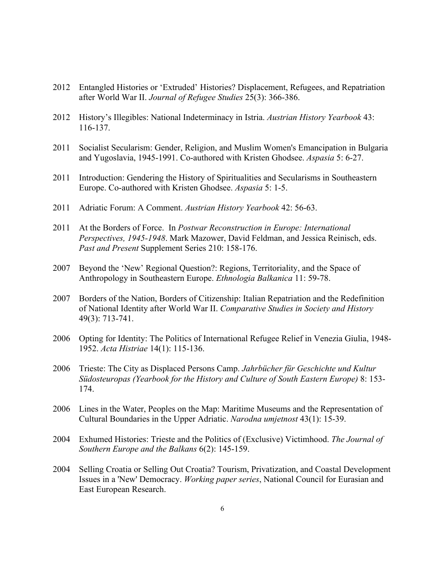- 2012 Entangled Histories or 'Extruded' Histories? Displacement, Refugees, and Repatriation after World War II. *Journal of Refugee Studies* 25(3): 366-386.
- 2012 History's Illegibles: National Indeterminacy in Istria. *Austrian History Yearbook* 43: 116-137.
- 2011 Socialist Secularism: Gender, Religion, and Muslim Women's Emancipation in Bulgaria and Yugoslavia, 1945-1991. Co-authored with Kristen Ghodsee. *Aspasia* 5: 6-27.
- 2011 Introduction: Gendering the History of Spiritualities and Secularisms in Southeastern Europe. Co-authored with Kristen Ghodsee. *Aspasia* 5: 1-5.
- 2011 Adriatic Forum: A Comment. *Austrian History Yearbook* 42: 56-63.
- 2011 At the Borders of Force. In *Postwar Reconstruction in Europe: International Perspectives, 1945-1948*. Mark Mazower, David Feldman, and Jessica Reinisch, eds. *Past and Present* Supplement Series 210: 158-176.
- 2007 Beyond the 'New' Regional Question?: Regions, Territoriality, and the Space of Anthropology in Southeastern Europe. *Ethnologia Balkanica* 11: 59-78.
- 2007 Borders of the Nation, Borders of Citizenship: Italian Repatriation and the Redefinition of National Identity after World War II. *Comparative Studies in Society and History* 49(3): 713-741.
- 2006 Opting for Identity: The Politics of International Refugee Relief in Venezia Giulia, 1948- 1952. *Acta Histriae* 14(1): 115-136.
- 2006 Trieste: The City as Displaced Persons Camp. *Jahrbücher für Geschichte und Kultur Südosteuropas (Yearbook for the History and Culture of South Eastern Europe)* 8: 153- 174.
- 2006 Lines in the Water, Peoples on the Map: Maritime Museums and the Representation of Cultural Boundaries in the Upper Adriatic. *Narodna umjetnost* 43(1): 15-39.
- 2004 Exhumed Histories: Trieste and the Politics of (Exclusive) Victimhood. *The Journal of Southern Europe and the Balkans* 6(2): 145-159.
- 2004 Selling Croatia or Selling Out Croatia? Tourism, Privatization, and Coastal Development Issues in a 'New' Democracy. *Working paper series*, National Council for Eurasian and East European Research.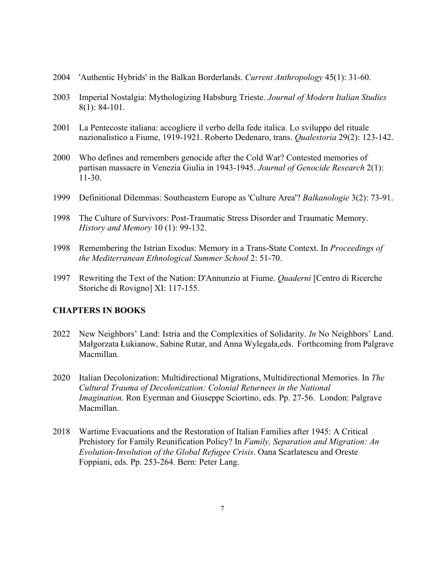- 2004 'Authentic Hybrids' in the Balkan Borderlands. *Current Anthropology* 45(1): 31-60.
- 2003 Imperial Nostalgia: Mythologizing Habsburg Trieste. *Journal of Modern Italian Studies* 8(1): 84-101.
- 2001 La Pentecoste italiana: accogliere il verbo della fede italica. Lo sviluppo del rituale nazionalistico a Fiume, 1919-1921. Roberto Dedenaro, trans. *Qualestoria* 29(2): 123-142.
- 2000 Who defines and remembers genocide after the Cold War? Contested memories of partisan massacre in Venezia Giulia in 1943-1945. *Journal of Genocide Research* 2(1): 11-30.
- 1999 Definitional Dilemmas: Southeastern Europe as 'Culture Area'? *Balkanologie* 3(2): 73-91.
- 1998 The Culture of Survivors: Post-Traumatic Stress Disorder and Traumatic Memory. *History and Memory* 10 (1): 99-132.
- 1998 Remembering the Istrian Exodus: Memory in a Trans-State Context. In *Proceedings of the Mediterranean Ethnological Summer School* 2: 51-70.
- 1997 Rewriting the Text of the Nation: D'Annunzio at Fiume. *Quaderni* [Centro di Ricerche Storiche di Rovigno] XI: 117-155.

## **CHAPTERS IN BOOKS**

- 2022 New Neighbors' Land: Istria and the Complexities of Solidarity. *In* No Neighbors' Land. Małgorzata Łukianow, Sabine Rutar, and Anna Wylegała,eds. Forthcoming from Palgrave Macmillan.
- 2020 Italian Decolonization: Multidirectional Migrations, Multidirectional Memories. In *The Cultural Trauma of Decolonization: Colonial Returnees in the National Imagination*. Ron Eyerman and Giuseppe Sciortino, eds. Pp. 27-56. London: Palgrave Macmillan.
- 2018 Wartime Evacuations and the Restoration of Italian Families after 1945: A Critical Prehistory for Family Reunification Policy? In *Family, Separation and Migration: An Evolution-Involution of the Global Refugee Crisis*. Oana Scarlatescu and Oreste Foppiani, eds. Pp. 253-264. Bern: Peter Lang.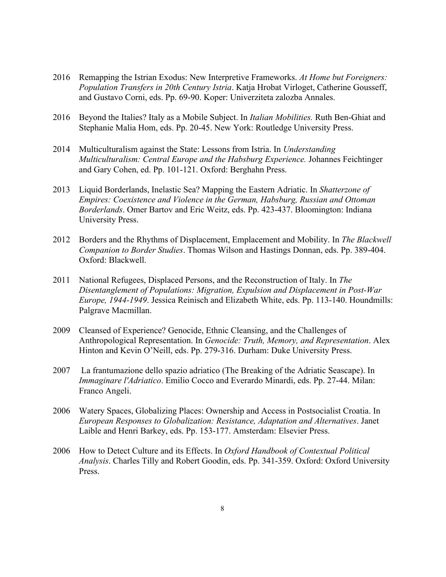- 2016 Remapping the Istrian Exodus: New Interpretive Frameworks. *At Home but Foreigners: Population Transfers in 20th Century Istria*. Katja Hrobat Virloget, Catherine Gousseff, and Gustavo Corni, eds. Pp. 69-90. Koper: Univerziteta zalozba Annales.
- 2016 Beyond the Italies? Italy as a Mobile Subject. In *Italian Mobilities.* Ruth Ben-Ghiat and Stephanie Malia Hom, eds. Pp. 20-45. New York: Routledge University Press.
- 2014 Multiculturalism against the State: Lessons from Istria. In *Understanding Multiculturalism: Central Europe and the Habsburg Experience.* Johannes Feichtinger and Gary Cohen, ed. Pp. 101-121. Oxford: Berghahn Press.
- 2013 Liquid Borderlands, Inelastic Sea? Mapping the Eastern Adriatic. In *Shatterzone of Empires: Coexistence and Violence in the German, Habsburg, Russian and Ottoman Borderlands*. Omer Bartov and Eric Weitz, eds. Pp. 423-437. Bloomington: Indiana University Press.
- 2012 Borders and the Rhythms of Displacement, Emplacement and Mobility. In *The Blackwell Companion to Border Studies*. Thomas Wilson and Hastings Donnan, eds. Pp. 389-404. Oxford: Blackwell.
- 2011 National Refugees, Displaced Persons, and the Reconstruction of Italy. In *The Disentanglement of Populations: Migration, Expulsion and Displacement in Post-War Europe, 1944-1949*. Jessica Reinisch and Elizabeth White, eds. Pp. 113-140. Houndmills: Palgrave Macmillan.
- 2009 Cleansed of Experience? Genocide, Ethnic Cleansing, and the Challenges of Anthropological Representation. In *Genocide: Truth, Memory, and Representation*. Alex Hinton and Kevin O'Neill, eds. Pp. 279-316. Durham: Duke University Press.
- 2007 La frantumazione dello spazio adriatico (The Breaking of the Adriatic Seascape). In *Immaginare l'Adriatico*. Emilio Cocco and Everardo Minardi, eds. Pp. 27-44. Milan: Franco Angeli.
- 2006 Watery Spaces, Globalizing Places: Ownership and Access in Postsocialist Croatia. In *European Responses to Globalization: Resistance, Adaptation and Alternatives*. Janet Laible and Henri Barkey, eds. Pp. 153-177. Amsterdam: Elsevier Press.
- 2006 How to Detect Culture and its Effects. In *Oxford Handbook of Contextual Political Analysis*. Charles Tilly and Robert Goodin, eds. Pp. 341-359. Oxford: Oxford University Press.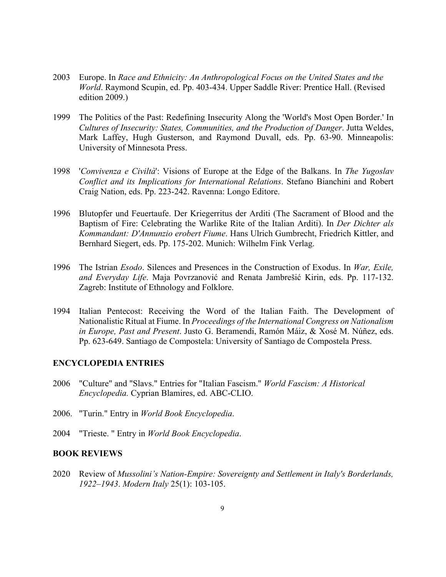- 2003 Europe. In *Race and Ethnicity: An Anthropological Focus on the United States and the World*. Raymond Scupin, ed. Pp. 403-434. Upper Saddle River: Prentice Hall. (Revised edition 2009.)
- 1999 The Politics of the Past: Redefining Insecurity Along the 'World's Most Open Border.' In *Cultures of Insecurity: States, Communities, and the Production of Danger*. Jutta Weldes, Mark Laffey, Hugh Gusterson, and Raymond Duvall, eds. Pp. 63-90. Minneapolis: University of Minnesota Press.
- 1998 '*Convivenza e Civiltà*': Visions of Europe at the Edge of the Balkans. In *The Yugoslav Conflict and its Implications for International Relations*. Stefano Bianchini and Robert Craig Nation, eds. Pp. 223-242. Ravenna: Longo Editore.
- 1996 Blutopfer und Feuertaufe. Der Kriegerritus der Arditi (The Sacrament of Blood and the Baptism of Fire: Celebrating the Warlike Rite of the Italian Arditi). In *Der Dichter als Kommandant: D'Annunzio erobert Fiume*. Hans Ulrich Gumbrecht, Friedrich Kittler, and Bernhard Siegert, eds. Pp. 175-202. Munich: Wilhelm Fink Verlag.
- 1996 The Istrian *Esodo*. Silences and Presences in the Construction of Exodus. In *War, Exile, and Everyday Life*. Maja Povrzanović and Renata Jambrešić Kirin, eds. Pp. 117-132. Zagreb: Institute of Ethnology and Folklore.
- 1994 Italian Pentecost: Receiving the Word of the Italian Faith. The Development of Nationalistic Ritual at Fiume. In *Proceedings of the International Congress on Nationalism in Europe, Past and Present*. Justo G. Beramendi, Ramón Máiz, & Xosé M. Núñez, eds. Pp. 623-649. Santiago de Compostela: University of Santiago de Compostela Press.

#### **ENCYCLOPEDIA ENTRIES**

- 2006 "Culture" and "Slavs." Entries for "Italian Fascism." *World Fascism: A Historical Encyclopedia.* Cyprian Blamires, ed. ABC-CLIO.
- 2006. "Turin." Entry in *World Book Encyclopedia*.
- 2004 "Trieste. " Entry in *World Book Encyclopedia*.

#### **BOOK REVIEWS**

2020 Review of *Mussolini's Nation-Empire: Sovereignty and Settlement in Italy's Borderlands, 1922–1943*. *Modern Italy* 25(1): 103-105.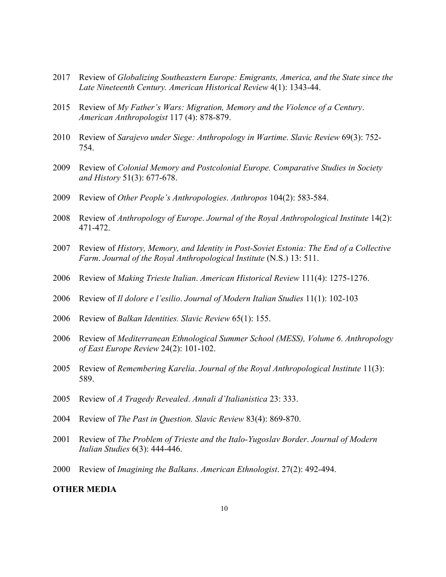- Review of *Globalizing Southeastern Europe: Emigrants, America, and the State since the Late Nineteenth Century. American Historical Review* 4(1): 1343-44.
- Review of *My Father's Wars: Migration, Memory and the Violence of a Century*. *American Anthropologist* 117 (4): 878-879.
- Review of *Sarajevo under Siege: Anthropology in Wartime*. *Slavic Review* 69(3): 752- 754.
- Review of *Colonial Memory and Postcolonial Europe. Comparative Studies in Society and History* 51(3): 677-678.
- Review of *Other People's Anthropologies*. *Anthropos* 104(2): 583-584.
- Review of *Anthropology of Europe*. *Journal of the Royal Anthropological Institute* 14(2): 471-472.
- Review of *History, Memory, and Identity in Post-Soviet Estonia: The End of a Collective Farm*. *Journal of the Royal Anthropological Institute* (N.S.) 13: 511.
- Review of *Making Trieste Italian*. *American Historical Review* 111(4): 1275-1276.
- Review of *Il dolore e l'esilio*. *Journal of Modern Italian Studies* 11(1): 102-103
- Review of *Balkan Identities. Slavic Review* 65(1): 155.
- Review of *Mediterranean Ethnological Summer School (MESS), Volume 6*. *Anthropology of East Europe Review* 24(2): 101-102.
- Review of *Remembering Karelia*. *Journal of the Royal Anthropological Institute* 11(3): 589.
- Review of *A Tragedy Revealed*. *Annali d'Italianistica* 23: 333.
- Review of *The Past in Question. Slavic Review* 83(4): 869-870.
- Review of *The Problem of Trieste and the Italo-Yugoslav Border*. *Journal of Modern Italian Studies* 6(3): 444-446.
- Review of *Imagining the Balkans*. *American Ethnologist*. 27(2): 492-494.

### **OTHER MEDIA**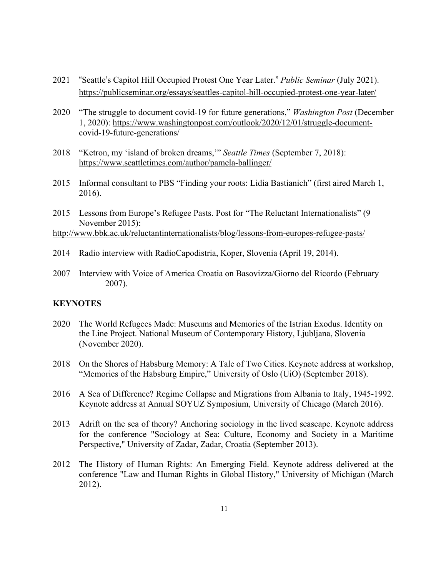- 2021 "Seattle's Capitol Hill Occupied Protest One Year Later." *Public Seminar* (July 2021). https://publicseminar.org/essays/seattles-capitol-hill-occupied-protest-one-year-later/
- 2020 "The struggle to document covid-19 for future generations," *Washington Post* (December 1, 2020): https://www.washingtonpost.com/outlook/2020/12/01/struggle-documentcovid-19-future-generations/
- 2018 "Ketron, my 'island of broken dreams,'" *Seattle Times* (September 7, 2018): https://www.seattletimes.com/author/pamela-ballinger/
- 2015 Informal consultant to PBS "Finding your roots: Lidia Bastianich" (first aired March 1, 2016).
- 2015 Lessons from Europe's Refugee Pasts. Post for "The Reluctant Internationalists" (9 November 2015):

http://www.bbk.ac.uk/reluctantinternationalists/blog/lessons-from-europes-refugee-pasts/

- 2014 Radio interview with RadioCapodistria, Koper, Slovenia (April 19, 2014).
- 2007 Interview with Voice of America Croatia on Basovizza/Giorno del Ricordo (February 2007).

### **KEYNOTES**

- 2020 The World Refugees Made: Museums and Memories of the Istrian Exodus. Identity on the Line Project. National Museum of Contemporary History, Ljubljana, Slovenia (November 2020).
- 2018 On the Shores of Habsburg Memory: A Tale of Two Cities. Keynote address at workshop, "Memories of the Habsburg Empire," University of Oslo (UiO) (September 2018).
- 2016 A Sea of Difference? Regime Collapse and Migrations from Albania to Italy, 1945-1992. Keynote address at Annual SOYUZ Symposium, University of Chicago (March 2016).
- 2013 Adrift on the sea of theory? Anchoring sociology in the lived seascape. Keynote address for the conference "Sociology at Sea: Culture, Economy and Society in a Maritime Perspective," University of Zadar, Zadar, Croatia (September 2013).
- 2012 The History of Human Rights: An Emerging Field. Keynote address delivered at the conference "Law and Human Rights in Global History," University of Michigan (March 2012).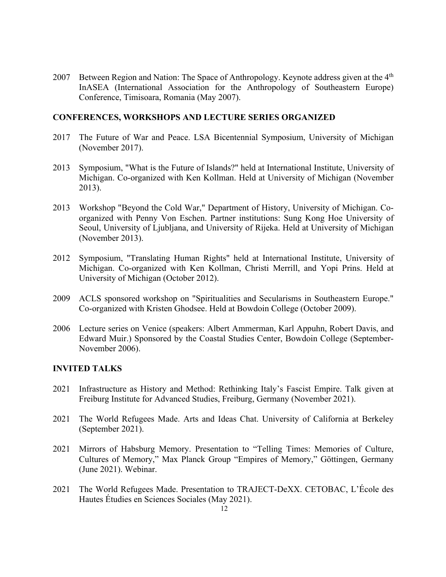2007 Between Region and Nation: The Space of Anthropology. Keynote address given at the 4<sup>th</sup> InASEA (International Association for the Anthropology of Southeastern Europe) Conference, Timisoara, Romania (May 2007).

### **CONFERENCES, WORKSHOPS AND LECTURE SERIES ORGANIZED**

- 2017 The Future of War and Peace. LSA Bicentennial Symposium, University of Michigan (November 2017).
- 2013 Symposium, "What is the Future of Islands?" held at International Institute, University of Michigan. Co-organized with Ken Kollman. Held at University of Michigan (November 2013).
- 2013 Workshop "Beyond the Cold War," Department of History, University of Michigan. Coorganized with Penny Von Eschen. Partner institutions: Sung Kong Hoe University of Seoul, University of Ljubljana, and University of Rijeka. Held at University of Michigan (November 2013).
- 2012 Symposium, "Translating Human Rights" held at International Institute, University of Michigan. Co-organized with Ken Kollman, Christi Merrill, and Yopi Prins. Held at University of Michigan (October 2012).
- 2009 ACLS sponsored workshop on "Spiritualities and Secularisms in Southeastern Europe." Co-organized with Kristen Ghodsee. Held at Bowdoin College (October 2009).
- 2006 Lecture series on Venice (speakers: Albert Ammerman, Karl Appuhn, Robert Davis, and Edward Muir.) Sponsored by the Coastal Studies Center, Bowdoin College (September-November 2006).

## **INVITED TALKS**

- 2021 Infrastructure as History and Method: Rethinking Italy's Fascist Empire. Talk given at Freiburg Institute for Advanced Studies, Freiburg, Germany (November 2021).
- 2021 The World Refugees Made. Arts and Ideas Chat. University of California at Berkeley (September 2021).
- 2021 Mirrors of Habsburg Memory. Presentation to "Telling Times: Memories of Culture, Cultures of Memory," Max Planck Group "Empires of Memory," Göttingen, Germany (June 2021). Webinar.
- 2021 The World Refugees Made. Presentation to TRAJECT-DeXX. CETOBAC, L'École des Hautes Étudies en Sciences Sociales (May 2021).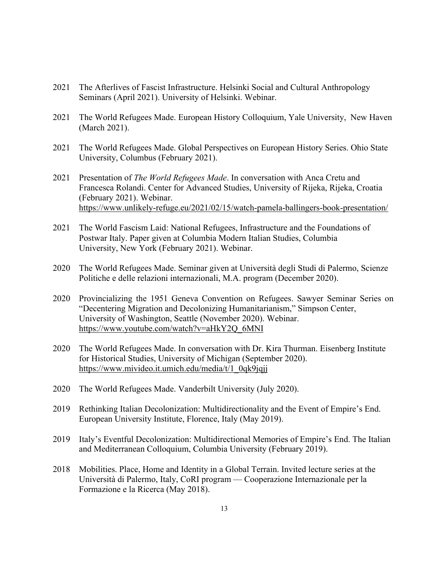- 2021 The Afterlives of Fascist Infrastructure. Helsinki Social and Cultural Anthropology Seminars (April 2021). University of Helsinki. Webinar.
- 2021 The World Refugees Made. European History Colloquium, Yale University, New Haven (March 2021).
- 2021 The World Refugees Made. Global Perspectives on European History Series. Ohio State University, Columbus (February 2021).
- 2021 Presentation of *The World Refugees Made*. In conversation with Anca Cretu and Francesca Rolandi. Center for Advanced Studies, University of Rijeka, Rijeka, Croatia (February 2021). Webinar. https://www.unlikely-refuge.eu/2021/02/15/watch-pamela-ballingers-book-presentation/
- 2021 The World Fascism Laid: National Refugees, Infrastructure and the Foundations of Postwar Italy. Paper given at Columbia Modern Italian Studies, Columbia University, New York (February 2021). Webinar.
- 2020 The World Refugees Made. Seminar given at Università degli Studi di Palermo, Scienze Politiche e delle relazioni internazionali, M.A. program (December 2020).
- 2020 Provincializing the 1951 Geneva Convention on Refugees. Sawyer Seminar Series on "Decentering Migration and Decolonizing Humanitarianism," Simpson Center, University of Washington, Seattle (November 2020). Webinar. https://www.youtube.com/watch?v=aHkY2Q\_6MNI
- 2020 The World Refugees Made. In conversation with Dr. Kira Thurman. Eisenberg Institute for Historical Studies, University of Michigan (September 2020). https://www.mivideo.it.umich.edu/media/t/1\_0qk9jqjj
- 2020 The World Refugees Made. Vanderbilt University (July 2020).
- 2019 Rethinking Italian Decolonization: Multidirectionality and the Event of Empire's End. European University Institute, Florence, Italy (May 2019).
- 2019 Italy's Eventful Decolonization: Multidirectional Memories of Empire's End. The Italian and Mediterranean Colloquium, Columbia University (February 2019).
- 2018 Mobilities. Place, Home and Identity in a Global Terrain. Invited lecture series at the Università di Palermo, Italy, CoRI program — Cooperazione Internazionale per la Formazione e la Ricerca (May 2018).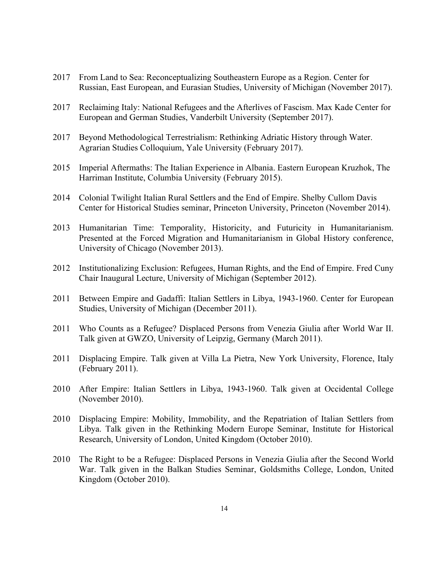- 2017 From Land to Sea: Reconceptualizing Southeastern Europe as a Region. Center for Russian, East European, and Eurasian Studies, University of Michigan (November 2017).
- 2017 Reclaiming Italy: National Refugees and the Afterlives of Fascism. Max Kade Center for European and German Studies, Vanderbilt University (September 2017).
- 2017 Beyond Methodological Terrestrialism: Rethinking Adriatic History through Water. Agrarian Studies Colloquium, Yale University (February 2017).
- 2015 Imperial Aftermaths: The Italian Experience in Albania. Eastern European Kruzhok, The Harriman Institute, Columbia University (February 2015).
- 2014 Colonial Twilight Italian Rural Settlers and the End of Empire. Shelby Cullom Davis Center for Historical Studies seminar, Princeton University, Princeton (November 2014).
- 2013 Humanitarian Time: Temporality, Historicity, and Futuricity in Humanitarianism. Presented at the Forced Migration and Humanitarianism in Global History conference, University of Chicago (November 2013).
- 2012 Institutionalizing Exclusion: Refugees, Human Rights, and the End of Empire. Fred Cuny Chair Inaugural Lecture, University of Michigan (September 2012).
- 2011 Between Empire and Gadaffi: Italian Settlers in Libya, 1943-1960. Center for European Studies, University of Michigan (December 2011).
- 2011 Who Counts as a Refugee? Displaced Persons from Venezia Giulia after World War II. Talk given at GWZO, University of Leipzig, Germany (March 2011).
- 2011 Displacing Empire. Talk given at Villa La Pietra, New York University, Florence, Italy (February 2011).
- 2010 After Empire: Italian Settlers in Libya, 1943-1960. Talk given at Occidental College (November 2010).
- 2010 Displacing Empire: Mobility, Immobility, and the Repatriation of Italian Settlers from Libya. Talk given in the Rethinking Modern Europe Seminar, Institute for Historical Research, University of London, United Kingdom (October 2010).
- 2010 The Right to be a Refugee: Displaced Persons in Venezia Giulia after the Second World War. Talk given in the Balkan Studies Seminar, Goldsmiths College, London, United Kingdom (October 2010).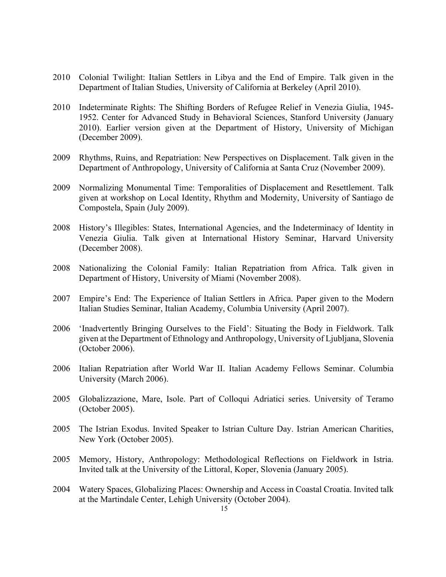- 2010 Colonial Twilight: Italian Settlers in Libya and the End of Empire. Talk given in the Department of Italian Studies, University of California at Berkeley (April 2010).
- 2010 Indeterminate Rights: The Shifting Borders of Refugee Relief in Venezia Giulia, 1945- 1952. Center for Advanced Study in Behavioral Sciences, Stanford University (January 2010). Earlier version given at the Department of History, University of Michigan (December 2009).
- 2009 Rhythms, Ruins, and Repatriation: New Perspectives on Displacement. Talk given in the Department of Anthropology, University of California at Santa Cruz (November 2009).
- 2009 Normalizing Monumental Time: Temporalities of Displacement and Resettlement. Talk given at workshop on Local Identity, Rhythm and Modernity, University of Santiago de Compostela, Spain (July 2009).
- 2008 History's Illegibles: States, International Agencies, and the Indeterminacy of Identity in Venezia Giulia. Talk given at International History Seminar, Harvard University (December 2008).
- 2008 Nationalizing the Colonial Family: Italian Repatriation from Africa. Talk given in Department of History, University of Miami (November 2008).
- 2007 Empire's End: The Experience of Italian Settlers in Africa. Paper given to the Modern Italian Studies Seminar, Italian Academy, Columbia University (April 2007).
- 2006 'Inadvertently Bringing Ourselves to the Field': Situating the Body in Fieldwork. Talk given at the Department of Ethnology and Anthropology, University of Ljubljana, Slovenia (October 2006).
- 2006 Italian Repatriation after World War II. Italian Academy Fellows Seminar. Columbia University (March 2006).
- 2005 Globalizzazione, Mare, Isole. Part of Colloqui Adriatici series. University of Teramo (October 2005).
- 2005 The Istrian Exodus. Invited Speaker to Istrian Culture Day. Istrian American Charities, New York (October 2005).
- 2005 Memory, History, Anthropology: Methodological Reflections on Fieldwork in Istria. Invited talk at the University of the Littoral, Koper, Slovenia (January 2005).
- 2004 Watery Spaces, Globalizing Places: Ownership and Access in Coastal Croatia. Invited talk at the Martindale Center, Lehigh University (October 2004).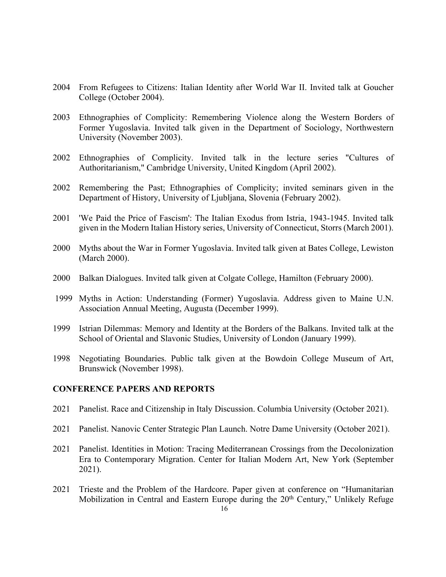- 2004 From Refugees to Citizens: Italian Identity after World War II. Invited talk at Goucher College (October 2004).
- 2003 Ethnographies of Complicity: Remembering Violence along the Western Borders of Former Yugoslavia. Invited talk given in the Department of Sociology, Northwestern University (November 2003).
- 2002 Ethnographies of Complicity. Invited talk in the lecture series "Cultures of Authoritarianism," Cambridge University, United Kingdom (April 2002).
- 2002 Remembering the Past; Ethnographies of Complicity; invited seminars given in the Department of History, University of Ljubljana, Slovenia (February 2002).
- 2001 'We Paid the Price of Fascism': The Italian Exodus from Istria, 1943-1945. Invited talk given in the Modern Italian History series, University of Connecticut, Storrs (March 2001).
- 2000 Myths about the War in Former Yugoslavia. Invited talk given at Bates College, Lewiston (March 2000).
- 2000 Balkan Dialogues. Invited talk given at Colgate College, Hamilton (February 2000).
- 1999 Myths in Action: Understanding (Former) Yugoslavia. Address given to Maine U.N. Association Annual Meeting, Augusta (December 1999).
- 1999 Istrian Dilemmas: Memory and Identity at the Borders of the Balkans. Invited talk at the School of Oriental and Slavonic Studies, University of London (January 1999).
- 1998 Negotiating Boundaries. Public talk given at the Bowdoin College Museum of Art, Brunswick (November 1998).

#### **CONFERENCE PAPERS AND REPORTS**

- 2021 Panelist. Race and Citizenship in Italy Discussion. Columbia University (October 2021).
- 2021 Panelist. Nanovic Center Strategic Plan Launch. Notre Dame University (October 2021).
- 2021 Panelist. Identities in Motion: Tracing Mediterranean Crossings from the Decolonization Era to Contemporary Migration. Center for Italian Modern Art, New York (September 2021).
- 2021 Trieste and the Problem of the Hardcore. Paper given at conference on "Humanitarian Mobilization in Central and Eastern Europe during the 20<sup>th</sup> Century," Unlikely Refuge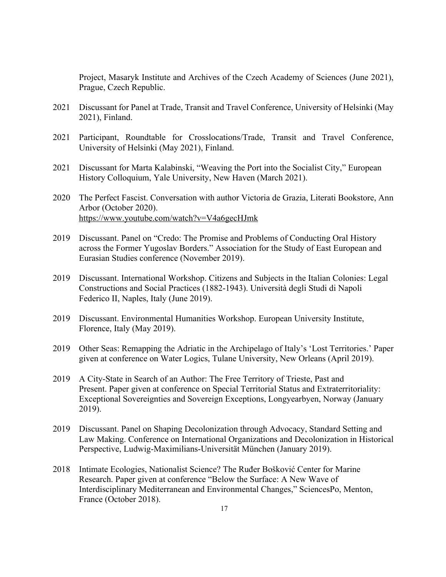Project, Masaryk Institute and Archives of the Czech Academy of Sciences (June 2021), Prague, Czech Republic.

- 2021 Discussant for Panel at Trade, Transit and Travel Conference, University of Helsinki (May 2021), Finland.
- 2021 Participant, Roundtable for Crosslocations/Trade, Transit and Travel Conference, University of Helsinki (May 2021), Finland.
- 2021 Discussant for Marta Kalabinski, "Weaving the Port into the Socialist City," European History Colloquium, Yale University, New Haven (March 2021).
- 2020 The Perfect Fascist. Conversation with author Victoria de Grazia, Literati Bookstore, Ann Arbor (October 2020). https://www.youtube.com/watch?v=V4a6gecHJmk
- 2019 Discussant. Panel on "Credo: The Promise and Problems of Conducting Oral History across the Former Yugoslav Borders." Association for the Study of East European and Eurasian Studies conference (November 2019).
- 2019 Discussant. International Workshop. Citizens and Subjects in the Italian Colonies: Legal Constructions and Social Practices (1882-1943). Università degli Studi di Napoli Federico II, Naples, Italy (June 2019).
- 2019 Discussant. Environmental Humanities Workshop. European University Institute, Florence, Italy (May 2019).
- 2019 Other Seas: Remapping the Adriatic in the Archipelago of Italy's 'Lost Territories.' Paper given at conference on Water Logics, Tulane University, New Orleans (April 2019).
- 2019 A City-State in Search of an Author: The Free Territory of Trieste, Past and Present. Paper given at conference on Special Territorial Status and Extraterritoriality: Exceptional Sovereignties and Sovereign Exceptions, Longyearbyen, Norway (January 2019).
- 2019 Discussant. Panel on Shaping Decolonization through Advocacy, Standard Setting and Law Making. Conference on International Organizations and Decolonization in Historical Perspective, Ludwig-Maximilians-Universität München (January 2019).
- 2018 Intimate Ecologies, Nationalist Science? The Ruđer Bošković Center for Marine Research. Paper given at conference "Below the Surface: A New Wave of Interdisciplinary Mediterranean and Environmental Changes," SciencesPo, Menton, France (October 2018).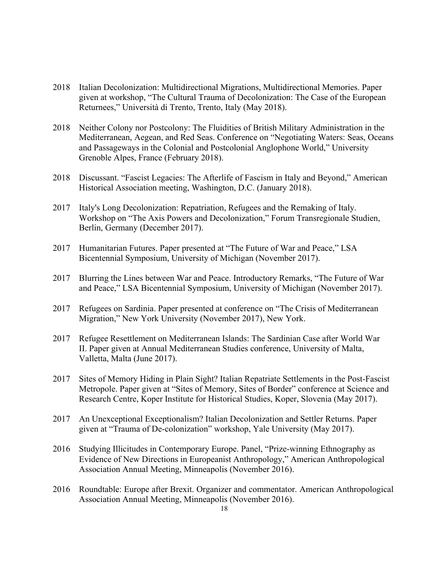- 2018 Italian Decolonization: Multidirectional Migrations, Multidirectional Memories. Paper given at workshop, "The Cultural Trauma of Decolonization: The Case of the European Returnees," Università di Trento, Trento, Italy (May 2018).
- 2018 Neither Colony nor Postcolony: The Fluidities of British Military Administration in the Mediterranean, Aegean, and Red Seas. Conference on "Negotiating Waters: Seas, Oceans and Passageways in the Colonial and Postcolonial Anglophone World," University Grenoble Alpes, France (February 2018).
- 2018 Discussant. "Fascist Legacies: The Afterlife of Fascism in Italy and Beyond," American Historical Association meeting, Washington, D.C. (January 2018).
- 2017 Italy's Long Decolonization: Repatriation, Refugees and the Remaking of Italy. Workshop on "The Axis Powers and Decolonization," Forum Transregionale Studien, Berlin, Germany (December 2017).
- 2017 Humanitarian Futures. Paper presented at "The Future of War and Peace," LSA Bicentennial Symposium, University of Michigan (November 2017).
- 2017 Blurring the Lines between War and Peace. Introductory Remarks, "The Future of War and Peace," LSA Bicentennial Symposium, University of Michigan (November 2017).
- 2017 Refugees on Sardinia. Paper presented at conference on "The Crisis of Mediterranean Migration," New York University (November 2017), New York.
- 2017 Refugee Resettlement on Mediterranean Islands: The Sardinian Case after World War II. Paper given at Annual Mediterranean Studies conference, University of Malta, Valletta, Malta (June 2017).
- 2017 Sites of Memory Hiding in Plain Sight? Italian Repatriate Settlements in the Post-Fascist Metropole. Paper given at "Sites of Memory, Sites of Border" conference at Science and Research Centre, Koper Institute for Historical Studies, Koper, Slovenia (May 2017).
- 2017 An Unexceptional Exceptionalism? Italian Decolonization and Settler Returns. Paper given at "Trauma of De-colonization" workshop, Yale University (May 2017).
- 2016 Studying Illicitudes in Contemporary Europe. Panel, "Prize-winning Ethnography as Evidence of New Directions in Europeanist Anthropology," American Anthropological Association Annual Meeting, Minneapolis (November 2016).
- 2016 Roundtable: Europe after Brexit. Organizer and commentator. American Anthropological Association Annual Meeting, Minneapolis (November 2016).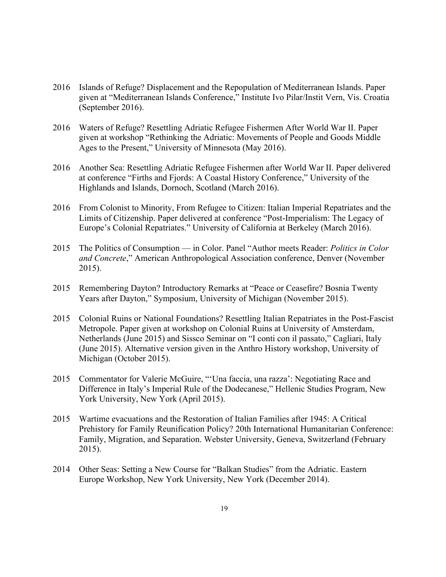- 2016 Islands of Refuge? Displacement and the Repopulation of Mediterranean Islands. Paper given at "Mediterranean Islands Conference," Institute Ivo Pilar/Instit Vern, Vis. Croatia (September 2016).
- 2016 Waters of Refuge? Resettling Adriatic Refugee Fishermen After World War II. Paper given at workshop "Rethinking the Adriatic: Movements of People and Goods Middle Ages to the Present," University of Minnesota (May 2016).
- 2016 Another Sea: Resettling Adriatic Refugee Fishermen after World War II. Paper delivered at conference "Firths and Fjords: A Coastal History Conference," University of the Highlands and Islands, Dornoch, Scotland (March 2016).
- 2016 From Colonist to Minority, From Refugee to Citizen: Italian Imperial Repatriates and the Limits of Citizenship. Paper delivered at conference "Post-Imperialism: The Legacy of Europe's Colonial Repatriates." University of California at Berkeley (March 2016).
- 2015 The Politics of Consumption in Color. Panel "Author meets Reader: *Politics in Color and Concrete*," American Anthropological Association conference, Denver (November 2015).
- 2015 Remembering Dayton? Introductory Remarks at "Peace or Ceasefire? Bosnia Twenty Years after Dayton," Symposium, University of Michigan (November 2015).
- 2015 Colonial Ruins or National Foundations? Resettling Italian Repatriates in the Post-Fascist Metropole. Paper given at workshop on Colonial Ruins at University of Amsterdam, Netherlands (June 2015) and Sissco Seminar on "I conti con il passato," Cagliari, Italy (June 2015). Alternative version given in the Anthro History workshop, University of Michigan (October 2015).
- 2015 Commentator for Valerie McGuire, "'Una faccia, una razza': Negotiating Race and Difference in Italy's Imperial Rule of the Dodecanese," Hellenic Studies Program, New York University, New York (April 2015).
- 2015 Wartime evacuations and the Restoration of Italian Families after 1945: A Critical Prehistory for Family Reunification Policy? 20th International Humanitarian Conference: Family, Migration, and Separation. Webster University, Geneva, Switzerland (February 2015).
- 2014 Other Seas: Setting a New Course for "Balkan Studies" from the Adriatic. Eastern Europe Workshop, New York University, New York (December 2014).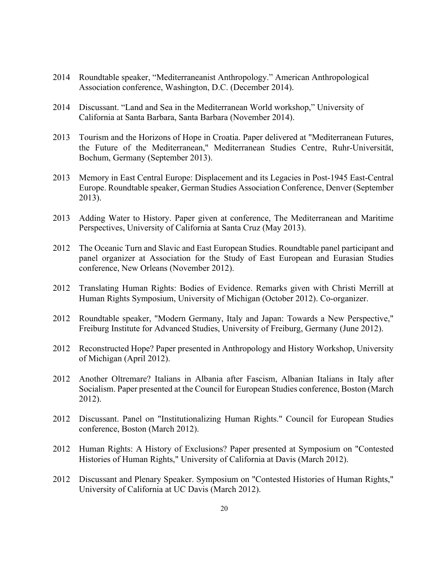- 2014 Roundtable speaker, "Mediterraneanist Anthropology." American Anthropological Association conference, Washington, D.C. (December 2014).
- 2014 Discussant. "Land and Sea in the Mediterranean World workshop," University of California at Santa Barbara, Santa Barbara (November 2014).
- 2013 Tourism and the Horizons of Hope in Croatia. Paper delivered at "Mediterranean Futures, the Future of the Mediterranean," Mediterranean Studies Centre, Ruhr-Universität, Bochum, Germany (September 2013).
- 2013 Memory in East Central Europe: Displacement and its Legacies in Post-1945 East-Central Europe. Roundtable speaker, German Studies Association Conference, Denver (September 2013).
- 2013 Adding Water to History. Paper given at conference, The Mediterranean and Maritime Perspectives, University of California at Santa Cruz (May 2013).
- 2012 The Oceanic Turn and Slavic and East European Studies. Roundtable panel participant and panel organizer at Association for the Study of East European and Eurasian Studies conference, New Orleans (November 2012).
- 2012 Translating Human Rights: Bodies of Evidence. Remarks given with Christi Merrill at Human Rights Symposium, University of Michigan (October 2012). Co-organizer.
- 2012 Roundtable speaker, "Modern Germany, Italy and Japan: Towards a New Perspective," Freiburg Institute for Advanced Studies, University of Freiburg, Germany (June 2012).
- 2012 Reconstructed Hope? Paper presented in Anthropology and History Workshop, University of Michigan (April 2012).
- 2012 Another Oltremare? Italians in Albania after Fascism, Albanian Italians in Italy after Socialism. Paper presented at the Council for European Studies conference, Boston (March 2012).
- 2012 Discussant. Panel on "Institutionalizing Human Rights." Council for European Studies conference, Boston (March 2012).
- 2012 Human Rights: A History of Exclusions? Paper presented at Symposium on "Contested Histories of Human Rights," University of California at Davis (March 2012).
- 2012 Discussant and Plenary Speaker. Symposium on "Contested Histories of Human Rights," University of California at UC Davis (March 2012).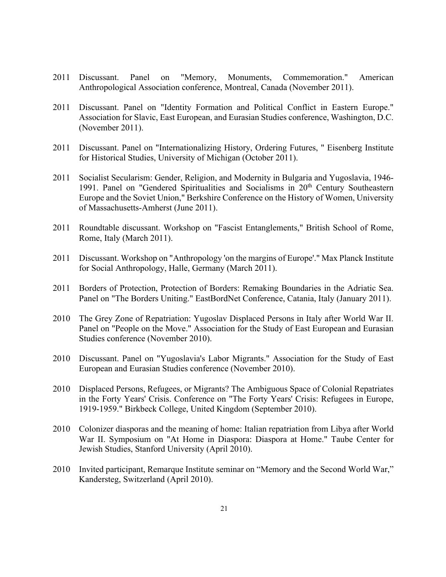- 2011 Discussant. Panel on "Memory, Monuments, Commemoration." American Anthropological Association conference, Montreal, Canada (November 2011).
- 2011 Discussant. Panel on "Identity Formation and Political Conflict in Eastern Europe." Association for Slavic, East European, and Eurasian Studies conference, Washington, D.C. (November 2011).
- 2011 Discussant. Panel on "Internationalizing History, Ordering Futures, " Eisenberg Institute for Historical Studies, University of Michigan (October 2011).
- 2011 Socialist Secularism: Gender, Religion, and Modernity in Bulgaria and Yugoslavia, 1946- 1991. Panel on "Gendered Spiritualities and Socialisms in 20<sup>th</sup> Century Southeastern Europe and the Soviet Union," Berkshire Conference on the History of Women, University of Massachusetts-Amherst (June 2011).
- 2011 Roundtable discussant. Workshop on "Fascist Entanglements," British School of Rome, Rome, Italy (March 2011).
- 2011 Discussant. Workshop on "Anthropology 'on the margins of Europe'." Max Planck Institute for Social Anthropology, Halle, Germany (March 2011).
- 2011 Borders of Protection, Protection of Borders: Remaking Boundaries in the Adriatic Sea. Panel on "The Borders Uniting." EastBordNet Conference, Catania, Italy (January 2011).
- 2010 The Grey Zone of Repatriation: Yugoslav Displaced Persons in Italy after World War II. Panel on "People on the Move." Association for the Study of East European and Eurasian Studies conference (November 2010).
- 2010 Discussant. Panel on "Yugoslavia's Labor Migrants." Association for the Study of East European and Eurasian Studies conference (November 2010).
- 2010 Displaced Persons, Refugees, or Migrants? The Ambiguous Space of Colonial Repatriates in the Forty Years' Crisis. Conference on "The Forty Years' Crisis: Refugees in Europe, 1919-1959." Birkbeck College, United Kingdom (September 2010).
- 2010 Colonizer diasporas and the meaning of home: Italian repatriation from Libya after World War II. Symposium on "At Home in Diaspora: Diaspora at Home." Taube Center for Jewish Studies, Stanford University (April 2010).
- 2010 Invited participant, Remarque Institute seminar on "Memory and the Second World War," Kandersteg, Switzerland (April 2010).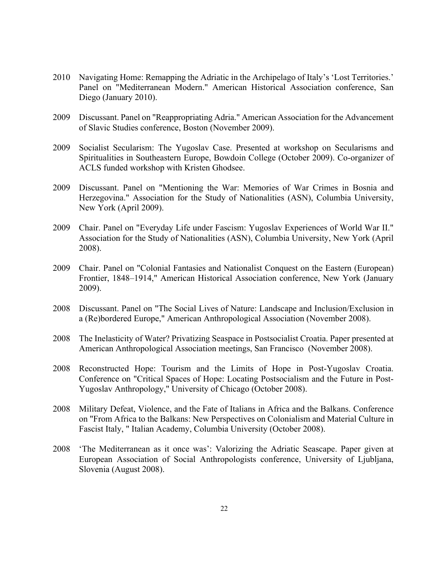- 2010 Navigating Home: Remapping the Adriatic in the Archipelago of Italy's 'Lost Territories.' Panel on "Mediterranean Modern." American Historical Association conference, San Diego (January 2010).
- 2009 Discussant. Panel on "Reappropriating Adria." American Association for the Advancement of Slavic Studies conference, Boston (November 2009).
- 2009 Socialist Secularism: The Yugoslav Case. Presented at workshop on Secularisms and Spiritualities in Southeastern Europe, Bowdoin College (October 2009). Co-organizer of ACLS funded workshop with Kristen Ghodsee.
- 2009 Discussant. Panel on "Mentioning the War: Memories of War Crimes in Bosnia and Herzegovina." Association for the Study of Nationalities (ASN), Columbia University, New York (April 2009).
- 2009 Chair. Panel on "Everyday Life under Fascism: Yugoslav Experiences of World War II." Association for the Study of Nationalities (ASN), Columbia University, New York (April 2008).
- 2009 Chair. Panel on "Colonial Fantasies and Nationalist Conquest on the Eastern (European) Frontier, 1848–1914," American Historical Association conference, New York (January 2009).
- 2008 Discussant. Panel on "The Social Lives of Nature: Landscape and Inclusion/Exclusion in a (Re)bordered Europe," American Anthropological Association (November 2008).
- 2008 The Inelasticity of Water? Privatizing Seaspace in Postsocialist Croatia. Paper presented at American Anthropological Association meetings, San Francisco (November 2008).
- 2008 Reconstructed Hope: Tourism and the Limits of Hope in Post-Yugoslav Croatia. Conference on "Critical Spaces of Hope: Locating Postsocialism and the Future in Post-Yugoslav Anthropology," University of Chicago (October 2008).
- 2008 Military Defeat, Violence, and the Fate of Italians in Africa and the Balkans. Conference on "From Africa to the Balkans: New Perspectives on Colonialism and Material Culture in Fascist Italy, " Italian Academy, Columbia University (October 2008).
- 2008 'The Mediterranean as it once was': Valorizing the Adriatic Seascape. Paper given at European Association of Social Anthropologists conference, University of Ljubljana, Slovenia (August 2008).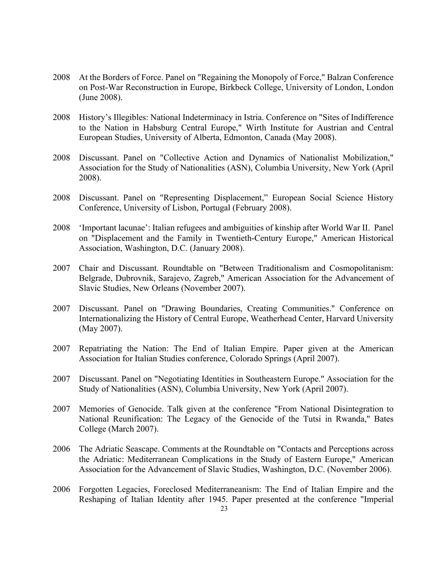- 2008 At the Borders of Force. Panel on "Regaining the Monopoly of Force," Balzan Conference on Post-War Reconstruction in Europe, Birkbeck College, University of London, London (June 2008).
- 2008 History's Illegibles: National Indeterminacy in Istria. Conference on "Sites of Indifference to the Nation in Habsburg Central Europe," Wirth Institute for Austrian and Central European Studies, University of Alberta, Edmonton, Canada (May 2008).
- 2008 Discussant. Panel on "Collective Action and Dynamics of Nationalist Mobilization," Association for the Study of Nationalities (ASN), Columbia University, New York (April 2008).
- 2008 Discussant. Panel on "Representing Displacement," European Social Science History Conference, University of Lisbon, Portugal (February 2008).
- 2008 'Important lacunae': Italian refugees and ambiguities of kinship after World War II. Panel on "Displacement and the Family in Twentieth-Century Europe," American Historical Association, Washington, D.C. (January 2008).
- 2007 Chair and Discussant. Roundtable on "Between Traditionalism and Cosmopolitanism: Belgrade, Dubrovnik, Sarajevo, Zagreb," American Association for the Advancement of Slavic Studies, New Orleans (November 2007).
- 2007 Discussant. Panel on "Drawing Boundaries, Creating Communities." Conference on Internationalizing the History of Central Europe, Weatherhead Center, Harvard University (May 2007).
- 2007 Repatriating the Nation: The End of Italian Empire. Paper given at the American Association for Italian Studies conference, Colorado Springs (April 2007).
- 2007 Discussant. Panel on "Negotiating Identities in Southeastern Europe." Association for the Study of Nationalities (ASN), Columbia University, New York (April 2007).
- 2007 Memories of Genocide. Talk given at the conference "From National Disintegration to National Reunification: The Legacy of the Genocide of the Tutsi in Rwanda," Bates College (March 2007).
- 2006 The Adriatic Seascape. Comments at the Roundtable on "Contacts and Perceptions across the Adriatic: Mediterranean Complications in the Study of Eastern Europe," American Association for the Advancement of Slavic Studies, Washington, D.C. (November 2006).
- 2006 Forgotten Legacies, Foreclosed Mediterraneanism: The End of Italian Empire and the Reshaping of Italian Identity after 1945. Paper presented at the conference "Imperial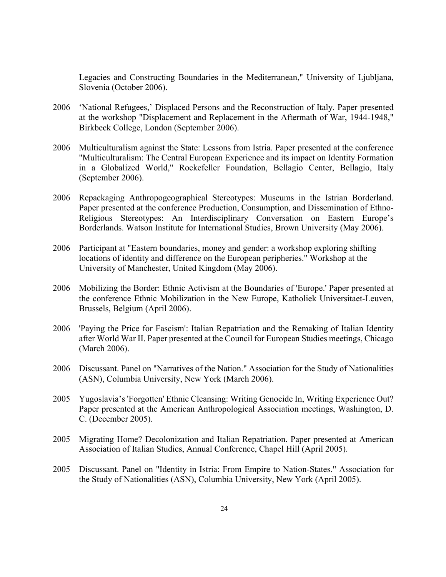Legacies and Constructing Boundaries in the Mediterranean," University of Ljubljana, Slovenia (October 2006).

- 2006 'National Refugees,' Displaced Persons and the Reconstruction of Italy. Paper presented at the workshop "Displacement and Replacement in the Aftermath of War, 1944-1948," Birkbeck College, London (September 2006).
- 2006 Multiculturalism against the State: Lessons from Istria. Paper presented at the conference "Multiculturalism: The Central European Experience and its impact on Identity Formation in a Globalized World," Rockefeller Foundation, Bellagio Center, Bellagio, Italy (September 2006).
- 2006 Repackaging Anthropogeographical Stereotypes: Museums in the Istrian Borderland. Paper presented at the conference Production, Consumption, and Dissemination of Ethno-Religious Stereotypes: An Interdisciplinary Conversation on Eastern Europe's Borderlands. Watson Institute for International Studies, Brown University (May 2006).
- 2006 Participant at "Eastern boundaries, money and gender: a workshop exploring shifting locations of identity and difference on the European peripheries." Workshop at the University of Manchester, United Kingdom (May 2006).
- 2006 Mobilizing the Border: Ethnic Activism at the Boundaries of 'Europe.' Paper presented at the conference Ethnic Mobilization in the New Europe, Katholiek Universitaet-Leuven, Brussels, Belgium (April 2006).
- 2006 'Paying the Price for Fascism': Italian Repatriation and the Remaking of Italian Identity after World War II. Paper presented at the Council for European Studies meetings, Chicago (March 2006).
- 2006 Discussant. Panel on "Narratives of the Nation." Association for the Study of Nationalities (ASN), Columbia University, New York (March 2006).
- 2005 Yugoslavia's 'Forgotten' Ethnic Cleansing: Writing Genocide In, Writing Experience Out? Paper presented at the American Anthropological Association meetings, Washington, D. C. (December 2005).
- 2005 Migrating Home? Decolonization and Italian Repatriation. Paper presented at American Association of Italian Studies, Annual Conference, Chapel Hill (April 2005).
- 2005 Discussant. Panel on "Identity in Istria: From Empire to Nation-States." Association for the Study of Nationalities (ASN), Columbia University, New York (April 2005).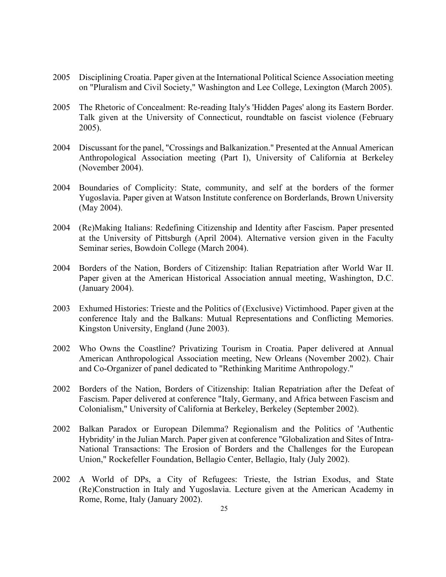- 2005 Disciplining Croatia. Paper given at the International Political Science Association meeting on "Pluralism and Civil Society," Washington and Lee College, Lexington (March 2005).
- 2005 The Rhetoric of Concealment: Re-reading Italy's 'Hidden Pages' along its Eastern Border. Talk given at the University of Connecticut, roundtable on fascist violence (February 2005).
- 2004 Discussant for the panel, "Crossings and Balkanization." Presented at the Annual American Anthropological Association meeting (Part I), University of California at Berkeley (November 2004).
- 2004 Boundaries of Complicity: State, community, and self at the borders of the former Yugoslavia. Paper given at Watson Institute conference on Borderlands, Brown University (May 2004).
- 2004 (Re)Making Italians: Redefining Citizenship and Identity after Fascism. Paper presented at the University of Pittsburgh (April 2004). Alternative version given in the Faculty Seminar series, Bowdoin College (March 2004).
- 2004 Borders of the Nation, Borders of Citizenship: Italian Repatriation after World War II. Paper given at the American Historical Association annual meeting, Washington, D.C. (January 2004).
- 2003 Exhumed Histories: Trieste and the Politics of (Exclusive) Victimhood. Paper given at the conference Italy and the Balkans: Mutual Representations and Conflicting Memories. Kingston University, England (June 2003).
- 2002 Who Owns the Coastline? Privatizing Tourism in Croatia. Paper delivered at Annual American Anthropological Association meeting, New Orleans (November 2002). Chair and Co-Organizer of panel dedicated to "Rethinking Maritime Anthropology."
- 2002 Borders of the Nation, Borders of Citizenship: Italian Repatriation after the Defeat of Fascism. Paper delivered at conference "Italy, Germany, and Africa between Fascism and Colonialism," University of California at Berkeley, Berkeley (September 2002).
- 2002 Balkan Paradox or European Dilemma? Regionalism and the Politics of 'Authentic Hybridity' in the Julian March. Paper given at conference "Globalization and Sites of Intra-National Transactions: The Erosion of Borders and the Challenges for the European Union," Rockefeller Foundation, Bellagio Center, Bellagio, Italy (July 2002).
- 2002 A World of DPs, a City of Refugees: Trieste, the Istrian Exodus, and State (Re)Construction in Italy and Yugoslavia. Lecture given at the American Academy in Rome, Rome, Italy (January 2002).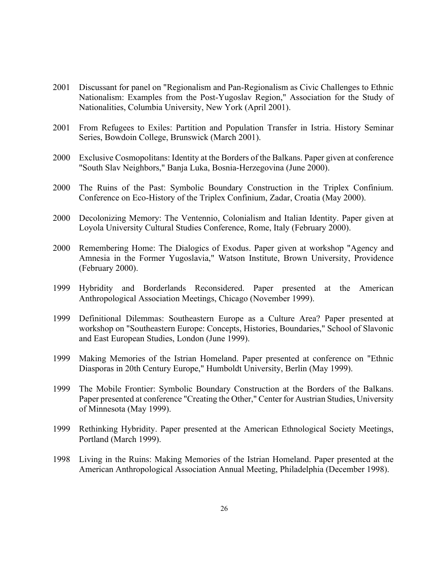- 2001 Discussant for panel on "Regionalism and Pan-Regionalism as Civic Challenges to Ethnic Nationalism: Examples from the Post-Yugoslav Region," Association for the Study of Nationalities, Columbia University, New York (April 2001).
- 2001 From Refugees to Exiles: Partition and Population Transfer in Istria. History Seminar Series, Bowdoin College, Brunswick (March 2001).
- 2000 Exclusive Cosmopolitans: Identity at the Borders of the Balkans. Paper given at conference "South Slav Neighbors," Banja Luka, Bosnia-Herzegovina (June 2000).
- 2000 The Ruins of the Past: Symbolic Boundary Construction in the Triplex Confinium. Conference on Eco-History of the Triplex Confinium, Zadar, Croatia (May 2000).
- 2000 Decolonizing Memory: The Ventennio, Colonialism and Italian Identity. Paper given at Loyola University Cultural Studies Conference, Rome, Italy (February 2000).
- 2000 Remembering Home: The Dialogics of Exodus. Paper given at workshop "Agency and Amnesia in the Former Yugoslavia," Watson Institute, Brown University, Providence (February 2000).
- 1999 Hybridity and Borderlands Reconsidered. Paper presented at the American Anthropological Association Meetings, Chicago (November 1999).
- 1999 Definitional Dilemmas: Southeastern Europe as a Culture Area? Paper presented at workshop on "Southeastern Europe: Concepts, Histories, Boundaries," School of Slavonic and East European Studies, London (June 1999).
- 1999 Making Memories of the Istrian Homeland. Paper presented at conference on "Ethnic Diasporas in 20th Century Europe," Humboldt University, Berlin (May 1999).
- 1999 The Mobile Frontier: Symbolic Boundary Construction at the Borders of the Balkans. Paper presented at conference "Creating the Other," Center for Austrian Studies, University of Minnesota (May 1999).
- 1999 Rethinking Hybridity. Paper presented at the American Ethnological Society Meetings, Portland (March 1999).
- 1998 Living in the Ruins: Making Memories of the Istrian Homeland. Paper presented at the American Anthropological Association Annual Meeting, Philadelphia (December 1998).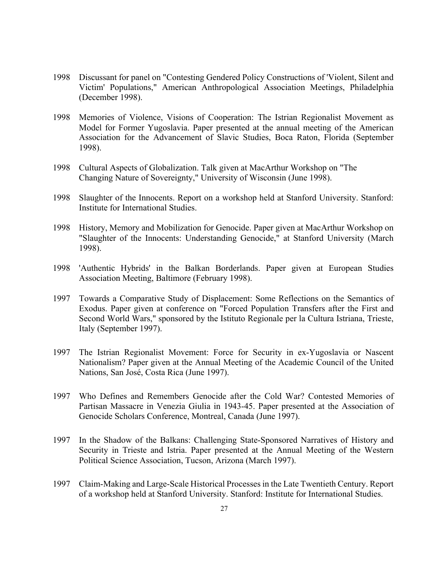- 1998 Discussant for panel on "Contesting Gendered Policy Constructions of 'Violent, Silent and Victim' Populations," American Anthropological Association Meetings, Philadelphia (December 1998).
- 1998 Memories of Violence, Visions of Cooperation: The Istrian Regionalist Movement as Model for Former Yugoslavia. Paper presented at the annual meeting of the American Association for the Advancement of Slavic Studies, Boca Raton, Florida (September 1998).
- 1998 Cultural Aspects of Globalization. Talk given at MacArthur Workshop on "The Changing Nature of Sovereignty," University of Wisconsin (June 1998).
- 1998 Slaughter of the Innocents. Report on a workshop held at Stanford University. Stanford: Institute for International Studies.
- 1998 History, Memory and Mobilization for Genocide. Paper given at MacArthur Workshop on "Slaughter of the Innocents: Understanding Genocide," at Stanford University (March 1998).
- 1998 'Authentic Hybrids' in the Balkan Borderlands. Paper given at European Studies Association Meeting, Baltimore (February 1998).
- 1997 Towards a Comparative Study of Displacement: Some Reflections on the Semantics of Exodus. Paper given at conference on "Forced Population Transfers after the First and Second World Wars," sponsored by the Istituto Regionale per la Cultura Istriana, Trieste, Italy (September 1997).
- 1997 The Istrian Regionalist Movement: Force for Security in ex-Yugoslavia or Nascent Nationalism? Paper given at the Annual Meeting of the Academic Council of the United Nations, San José, Costa Rica (June 1997).
- 1997 Who Defines and Remembers Genocide after the Cold War? Contested Memories of Partisan Massacre in Venezia Giulia in 1943-45. Paper presented at the Association of Genocide Scholars Conference, Montreal, Canada (June 1997).
- 1997 In the Shadow of the Balkans: Challenging State-Sponsored Narratives of History and Security in Trieste and Istria. Paper presented at the Annual Meeting of the Western Political Science Association, Tucson, Arizona (March 1997).
- 1997 Claim-Making and Large-Scale Historical Processes in the Late Twentieth Century. Report of a workshop held at Stanford University. Stanford: Institute for International Studies.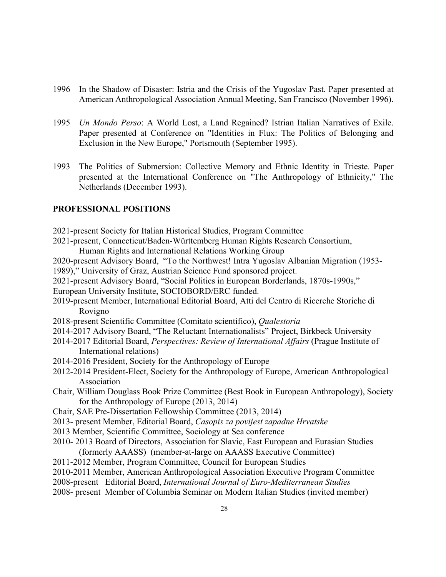- 1996 In the Shadow of Disaster: Istria and the Crisis of the Yugoslav Past. Paper presented at American Anthropological Association Annual Meeting, San Francisco (November 1996).
- 1995 *Un Mondo Perso*: A World Lost, a Land Regained? Istrian Italian Narratives of Exile. Paper presented at Conference on "Identities in Flux: The Politics of Belonging and Exclusion in the New Europe," Portsmouth (September 1995).
- 1993 The Politics of Submersion: Collective Memory and Ethnic Identity in Trieste. Paper presented at the International Conference on "The Anthropology of Ethnicity," The Netherlands (December 1993).

#### **PROFESSIONAL POSITIONS**

- 2021-present Society for Italian Historical Studies, Program Committee
- 2021-present, Connecticut/Baden-Württemberg Human Rights Research Consortium,
	- Human Rights and International Relations Working Group
- 2020-present Advisory Board, "To the Northwest! Intra Yugoslav Albanian Migration (1953- 1989)," University of Graz, Austrian Science Fund sponsored project.
- 2021-present Advisory Board, "Social Politics in European Borderlands, 1870s-1990s,"
- European University Institute, SOCIOBORD/ERC funded.
- 2019-present Member, International Editorial Board, Atti del Centro di Ricerche Storiche di Rovigno
- 2018-present Scientific Committee (Comitato scientifico), *Qualestoria*
- 2014-2017 Advisory Board, "The Reluctant Internationalists" Project, Birkbeck University
- 2014-2017 Editorial Board, *Perspectives: Review of International Affairs* (Prague Institute of International relations)
- 2014-2016 President, Society for the Anthropology of Europe
- 2012-2014 President-Elect, Society for the Anthropology of Europe, American Anthropological Association
- Chair, William Douglass Book Prize Committee (Best Book in European Anthropology), Society for the Anthropology of Europe (2013, 2014)
- Chair, SAE Pre-Dissertation Fellowship Committee (2013, 2014)
- 2013- present Member, Editorial Board, *Casopis za povijest zapadne Hrvatske*
- 2013 Member, Scientific Committee, Sociology at Sea conference
- 2010- 2013 Board of Directors, Association for Slavic, East European and Eurasian Studies (formerly AAASS) (member-at-large on AAASS Executive Committee)
- 2011-2012 Member, Program Committee, Council for European Studies
- 2010-2011 Member, American Anthropological Association Executive Program Committee
- 2008-present Editorial Board, *International Journal of Euro-Mediterranean Studies*
- 2008- present Member of Columbia Seminar on Modern Italian Studies (invited member)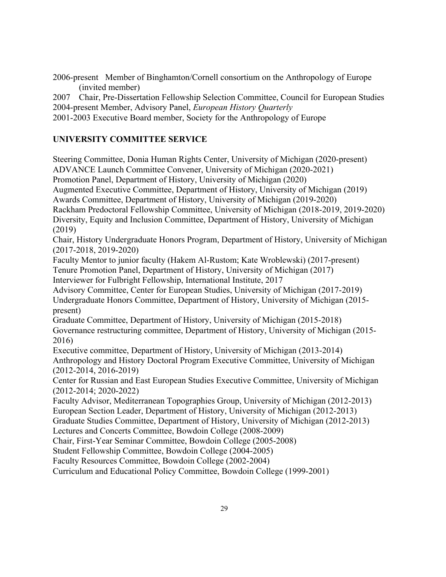2006-present Member of Binghamton/Cornell consortium on the Anthropology of Europe (invited member)

2007 Chair, Pre-Dissertation Fellowship Selection Committee, Council for European Studies 2004-present Member, Advisory Panel, *European History Quarterly*

2001-2003 Executive Board member, Society for the Anthropology of Europe

# **UNIVERSITY COMMITTEE SERVICE**

Steering Committee, Donia Human Rights Center, University of Michigan (2020-present) ADVANCE Launch Committee Convener, University of Michigan (2020-2021) Promotion Panel, Department of History, University of Michigan (2020) Augmented Executive Committee, Department of History, University of Michigan (2019) Awards Committee, Department of History, University of Michigan (2019-2020) Rackham Predoctoral Fellowship Committee, University of Michigan (2018-2019, 2019-2020) Diversity, Equity and Inclusion Committee, Department of History, University of Michigan (2019) Chair, History Undergraduate Honors Program, Department of History, University of Michigan (2017-2018, 2019-2020) Faculty Mentor to junior faculty (Hakem Al-Rustom; Kate Wroblewski) (2017-present) Tenure Promotion Panel, Department of History, University of Michigan (2017) Interviewer for Fulbright Fellowship, International Institute, 2017 Advisory Committee, Center for European Studies, University of Michigan (2017-2019) Undergraduate Honors Committee, Department of History, University of Michigan (2015 present) Graduate Committee, Department of History, University of Michigan (2015-2018) Governance restructuring committee, Department of History, University of Michigan (2015- 2016) Executive committee, Department of History, University of Michigan (2013-2014) Anthropology and History Doctoral Program Executive Committee, University of Michigan (2012-2014, 2016-2019) Center for Russian and East European Studies Executive Committee, University of Michigan (2012-2014; 2020-2022) Faculty Advisor, Mediterranean Topographies Group, University of Michigan (2012-2013) European Section Leader, Department of History, University of Michigan (2012-2013) Graduate Studies Committee, Department of History, University of Michigan (2012-2013) Lectures and Concerts Committee, Bowdoin College (2008-2009) Chair, First-Year Seminar Committee, Bowdoin College (2005-2008) Student Fellowship Committee, Bowdoin College (2004-2005) Faculty Resources Committee, Bowdoin College (2002-2004) Curriculum and Educational Policy Committee, Bowdoin College (1999-2001)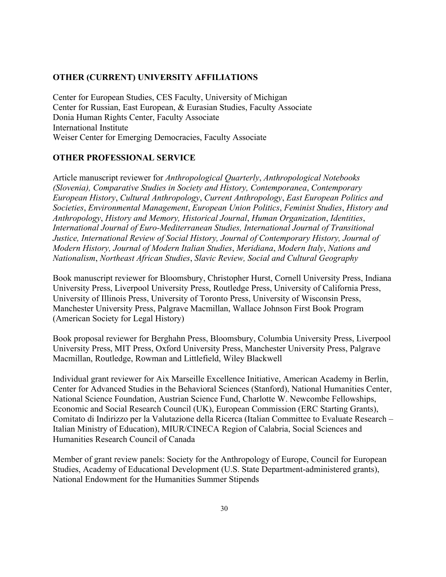#### **OTHER (CURRENT) UNIVERSITY AFFILIATIONS**

Center for European Studies, CES Faculty, University of Michigan Center for Russian, East European, & Eurasian Studies, Faculty Associate Donia Human Rights Center, Faculty Associate International Institute Weiser Center for Emerging Democracies, Faculty Associate

#### **OTHER PROFESSIONAL SERVICE**

Article manuscript reviewer for *Anthropological Quarterly*, *Anthropological Notebooks (Slovenia), Comparative Studies in Society and History, Contemporanea*, *Contemporary European History*, *Cultural Anthropology*, *Current Anthropology*, *East European Politics and Societies*, *Environmental Management*, *European Union Politics*, *Feminist Studies*, *History and Anthropology*, *History and Memory, Historical Journal*, *Human Organization*, *Identities*, *International Journal of Euro-Mediterranean Studies, International Journal of Transitional Justice, International Review of Social History, Journal of Contemporary History, Journal of Modern History, Journal of Modern Italian Studies*, *Meridiana*, *Modern Italy*, *Nations and Nationalism*, *Northeast African Studies*, *Slavic Review, Social and Cultural Geography*

Book manuscript reviewer for Bloomsbury, Christopher Hurst, Cornell University Press, Indiana University Press, Liverpool University Press, Routledge Press, University of California Press, University of Illinois Press, University of Toronto Press, University of Wisconsin Press, Manchester University Press, Palgrave Macmillan, Wallace Johnson First Book Program (American Society for Legal History)

Book proposal reviewer for Berghahn Press, Bloomsbury, Columbia University Press, Liverpool University Press, MIT Press, Oxford University Press, Manchester University Press, Palgrave Macmillan, Routledge, Rowman and Littlefield, Wiley Blackwell

Individual grant reviewer for Aix Marseille Excellence Initiative, American Academy in Berlin, Center for Advanced Studies in the Behavioral Sciences (Stanford), National Humanities Center, National Science Foundation, Austrian Science Fund, Charlotte W. Newcombe Fellowships, Economic and Social Research Council (UK), European Commission (ERC Starting Grants), Comitato di Indirizzo per la Valutazione della Ricerca (Italian Committee to Evaluate Research – Italian Ministry of Education), MIUR/CINECA Region of Calabria, Social Sciences and Humanities Research Council of Canada

Member of grant review panels: Society for the Anthropology of Europe, Council for European Studies, Academy of Educational Development (U.S. State Department-administered grants), National Endowment for the Humanities Summer Stipends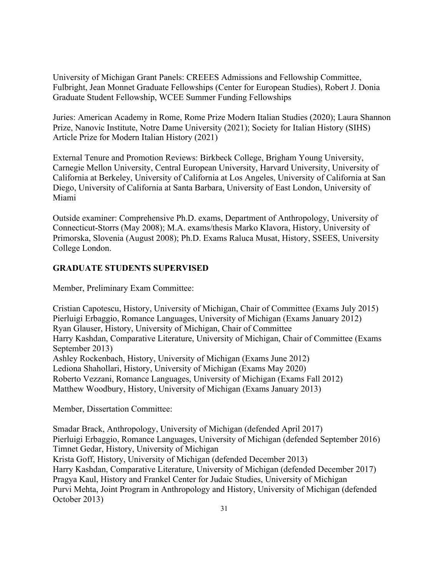University of Michigan Grant Panels: CREEES Admissions and Fellowship Committee, Fulbright, Jean Monnet Graduate Fellowships (Center for European Studies), Robert J. Donia Graduate Student Fellowship, WCEE Summer Funding Fellowships

Juries: American Academy in Rome, Rome Prize Modern Italian Studies (2020); Laura Shannon Prize, Nanovic Institute, Notre Dame University (2021); Society for Italian History (SIHS) Article Prize for Modern Italian History (2021)

External Tenure and Promotion Reviews: Birkbeck College, Brigham Young University, Carnegie Mellon University, Central European University, Harvard University, University of California at Berkeley, University of California at Los Angeles, University of California at San Diego, University of California at Santa Barbara, University of East London, University of Miami

Outside examiner: Comprehensive Ph.D. exams, Department of Anthropology, University of Connecticut-Storrs (May 2008); M.A. exams/thesis Marko Klavora, History, University of Primorska, Slovenia (August 2008); Ph.D. Exams Raluca Musat, History, SSEES, University College London.

### **GRADUATE STUDENTS SUPERVISED**

Member, Preliminary Exam Committee:

Cristian Capotescu, History, University of Michigan, Chair of Committee (Exams July 2015) Pierluigi Erbaggio, Romance Languages, University of Michigan (Exams January 2012) Ryan Glauser, History, University of Michigan, Chair of Committee Harry Kashdan, Comparative Literature, University of Michigan, Chair of Committee (Exams September 2013) Ashley Rockenbach, History, University of Michigan (Exams June 2012) Lediona Shahollari, History, University of Michigan (Exams May 2020) Roberto Vezzani, Romance Languages, University of Michigan (Exams Fall 2012) Matthew Woodbury, History, University of Michigan (Exams January 2013)

Member, Dissertation Committee:

Smadar Brack, Anthropology, University of Michigan (defended April 2017) Pierluigi Erbaggio, Romance Languages, University of Michigan (defended September 2016) Timnet Gedar, History, University of Michigan Krista Goff, History, University of Michigan (defended December 2013) Harry Kashdan, Comparative Literature, University of Michigan (defended December 2017) Pragya Kaul, History and Frankel Center for Judaic Studies, University of Michigan Purvi Mehta, Joint Program in Anthropology and History, University of Michigan (defended October 2013)